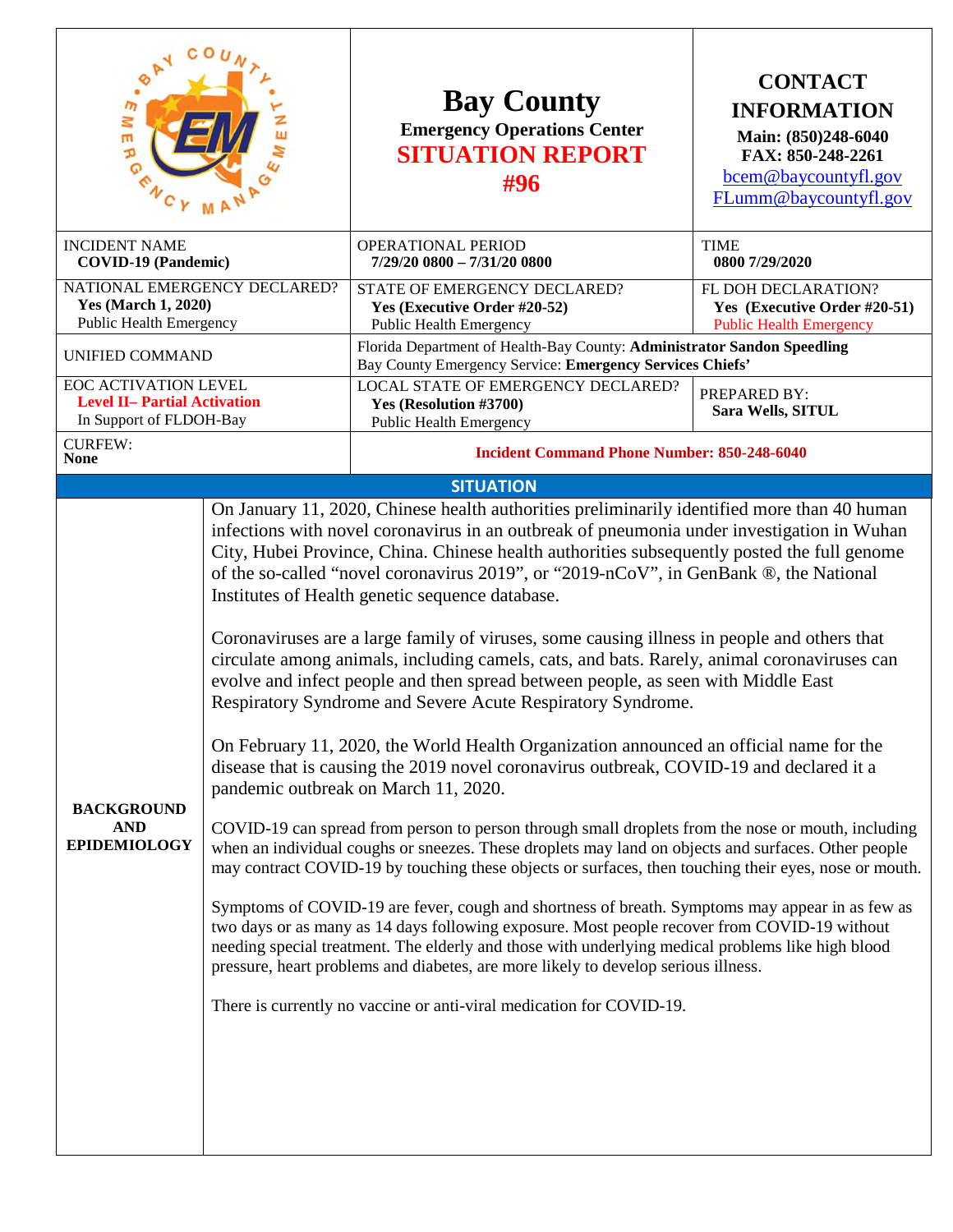| $\cdot^{\circ}$<br>$\overline{m}$<br>Ξ<br><b>IERG</b>                                         | <b>Bay County</b><br><b>Emergency Operations Center</b><br><b>SITUATION REPORT</b><br>#96                                                                                                                                                                                                                                                                                                                                                                                                                                                                                                                                                                                                                                                                                                                                                                                                                                                                                                                                                                                                                                                                                                                                                                                                                                                                                                                                                                                                                                                                                                                                                                                                                                                                                                                       | <b>CONTACT</b><br><b>INFORMATION</b><br>Main: (850)248-6040<br>FAX: 850-248-2261<br>bcem@baycountyfl.gov<br>FLumm@baycountyfl.gov |
|-----------------------------------------------------------------------------------------------|-----------------------------------------------------------------------------------------------------------------------------------------------------------------------------------------------------------------------------------------------------------------------------------------------------------------------------------------------------------------------------------------------------------------------------------------------------------------------------------------------------------------------------------------------------------------------------------------------------------------------------------------------------------------------------------------------------------------------------------------------------------------------------------------------------------------------------------------------------------------------------------------------------------------------------------------------------------------------------------------------------------------------------------------------------------------------------------------------------------------------------------------------------------------------------------------------------------------------------------------------------------------------------------------------------------------------------------------------------------------------------------------------------------------------------------------------------------------------------------------------------------------------------------------------------------------------------------------------------------------------------------------------------------------------------------------------------------------------------------------------------------------------------------------------------------------|-----------------------------------------------------------------------------------------------------------------------------------|
| <b>INCIDENT NAME</b><br><b>COVID-19 (Pandemic)</b>                                            | <b>OPERATIONAL PERIOD</b><br>7/29/20 0800 - 7/31/20 0800                                                                                                                                                                                                                                                                                                                                                                                                                                                                                                                                                                                                                                                                                                                                                                                                                                                                                                                                                                                                                                                                                                                                                                                                                                                                                                                                                                                                                                                                                                                                                                                                                                                                                                                                                        | <b>TIME</b><br>0800 7/29/2020                                                                                                     |
| NATIONAL EMERGENCY DECLARED?<br><b>Yes (March 1, 2020)</b><br><b>Public Health Emergency</b>  | STATE OF EMERGENCY DECLARED?<br>Yes (Executive Order #20-52)<br>Public Health Emergency                                                                                                                                                                                                                                                                                                                                                                                                                                                                                                                                                                                                                                                                                                                                                                                                                                                                                                                                                                                                                                                                                                                                                                                                                                                                                                                                                                                                                                                                                                                                                                                                                                                                                                                         | FL DOH DECLARATION?<br>Yes (Executive Order #20-51)<br><b>Public Health Emergency</b>                                             |
| UNIFIED COMMAND                                                                               | Florida Department of Health-Bay County: Administrator Sandon Speedling<br>Bay County Emergency Service: Emergency Services Chiefs'                                                                                                                                                                                                                                                                                                                                                                                                                                                                                                                                                                                                                                                                                                                                                                                                                                                                                                                                                                                                                                                                                                                                                                                                                                                                                                                                                                                                                                                                                                                                                                                                                                                                             |                                                                                                                                   |
| <b>EOC ACTIVATION LEVEL</b><br><b>Level II- Partial Activation</b><br>In Support of FLDOH-Bay | LOCAL STATE OF EMERGENCY DECLARED?<br>Yes (Resolution #3700)<br><b>Public Health Emergency</b>                                                                                                                                                                                                                                                                                                                                                                                                                                                                                                                                                                                                                                                                                                                                                                                                                                                                                                                                                                                                                                                                                                                                                                                                                                                                                                                                                                                                                                                                                                                                                                                                                                                                                                                  | PREPARED BY:<br>Sara Wells, SITUL                                                                                                 |
| <b>CURFEW:</b><br><b>None</b>                                                                 | <b>Incident Command Phone Number: 850-248-6040</b>                                                                                                                                                                                                                                                                                                                                                                                                                                                                                                                                                                                                                                                                                                                                                                                                                                                                                                                                                                                                                                                                                                                                                                                                                                                                                                                                                                                                                                                                                                                                                                                                                                                                                                                                                              |                                                                                                                                   |
|                                                                                               | <b>SITUATION</b>                                                                                                                                                                                                                                                                                                                                                                                                                                                                                                                                                                                                                                                                                                                                                                                                                                                                                                                                                                                                                                                                                                                                                                                                                                                                                                                                                                                                                                                                                                                                                                                                                                                                                                                                                                                                |                                                                                                                                   |
| <b>BACKGROUND</b><br><b>AND</b><br><b>EPIDEMIOLOGY</b>                                        | On January 11, 2020, Chinese health authorities preliminarily identified more than 40 human<br>infections with novel coronavirus in an outbreak of pneumonia under investigation in Wuhan<br>City, Hubei Province, China. Chinese health authorities subsequently posted the full genome<br>of the so-called "novel coronavirus 2019", or "2019-nCoV", in GenBank ®, the National<br>Institutes of Health genetic sequence database.<br>Coronaviruses are a large family of viruses, some causing illness in people and others that<br>circulate among animals, including camels, cats, and bats. Rarely, animal coronaviruses can<br>evolve and infect people and then spread between people, as seen with Middle East<br>Respiratory Syndrome and Severe Acute Respiratory Syndrome.<br>On February 11, 2020, the World Health Organization announced an official name for the<br>disease that is causing the 2019 novel coronavirus outbreak, COVID-19 and declared it a<br>pandemic outbreak on March 11, 2020.<br>COVID-19 can spread from person to person through small droplets from the nose or mouth, including<br>when an individual coughs or sneezes. These droplets may land on objects and surfaces. Other people<br>may contract COVID-19 by touching these objects or surfaces, then touching their eyes, nose or mouth.<br>Symptoms of COVID-19 are fever, cough and shortness of breath. Symptoms may appear in as few as<br>two days or as many as 14 days following exposure. Most people recover from COVID-19 without<br>needing special treatment. The elderly and those with underlying medical problems like high blood<br>pressure, heart problems and diabetes, are more likely to develop serious illness.<br>There is currently no vaccine or anti-viral medication for COVID-19. |                                                                                                                                   |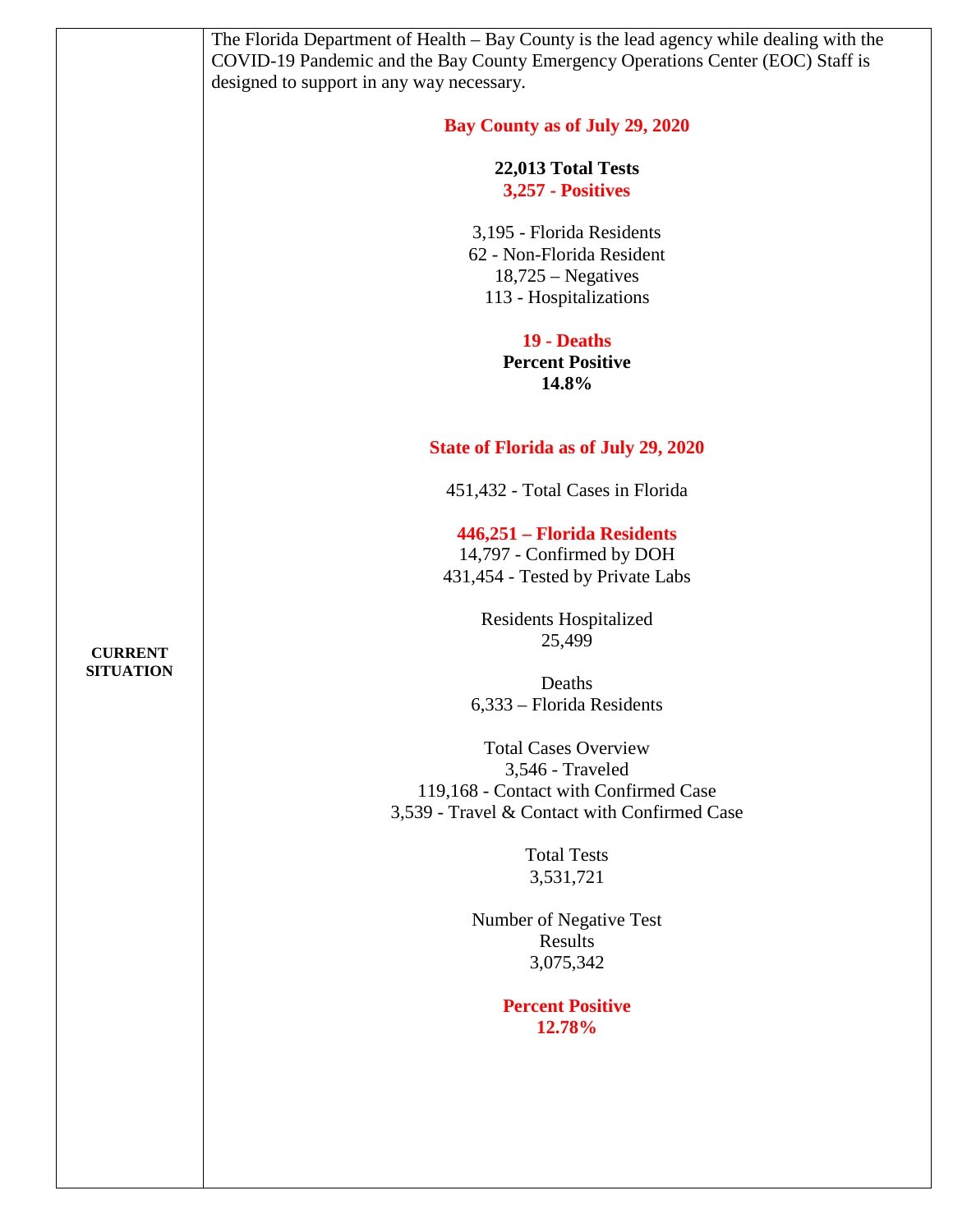|                  | The Florida Department of Health - Bay County is the lead agency while dealing with the |
|------------------|-----------------------------------------------------------------------------------------|
|                  | COVID-19 Pandemic and the Bay County Emergency Operations Center (EOC) Staff is         |
|                  |                                                                                         |
|                  | designed to support in any way necessary.                                               |
|                  | Bay County as of July 29, 2020                                                          |
|                  |                                                                                         |
|                  | 22,013 Total Tests                                                                      |
|                  | 3,257 - Positives                                                                       |
|                  |                                                                                         |
|                  | 3,195 - Florida Residents                                                               |
|                  | 62 - Non-Florida Resident                                                               |
|                  | $18,725 - Negatives$                                                                    |
|                  | 113 - Hospitalizations                                                                  |
|                  |                                                                                         |
|                  | 19 - Deaths                                                                             |
|                  | <b>Percent Positive</b>                                                                 |
|                  | 14.8%                                                                                   |
|                  |                                                                                         |
|                  | <b>State of Florida as of July 29, 2020</b>                                             |
|                  |                                                                                         |
|                  | 451,432 - Total Cases in Florida                                                        |
|                  |                                                                                         |
|                  | 446,251 - Florida Residents                                                             |
|                  | 14,797 - Confirmed by DOH                                                               |
|                  | 431,454 - Tested by Private Labs                                                        |
|                  | Residents Hospitalized                                                                  |
|                  | 25,499                                                                                  |
| <b>CURRENT</b>   |                                                                                         |
| <b>SITUATION</b> | Deaths                                                                                  |
|                  |                                                                                         |
|                  | 6,333 - Florida Residents                                                               |
|                  | <b>Total Cases Overview</b>                                                             |
|                  | 3,546 - Traveled                                                                        |
|                  |                                                                                         |
|                  | 119,168 - Contact with Confirmed Case                                                   |
|                  | 3,539 - Travel & Contact with Confirmed Case                                            |
|                  | <b>Total Tests</b>                                                                      |
|                  | 3,531,721                                                                               |
|                  |                                                                                         |
|                  | Number of Negative Test                                                                 |
|                  | Results                                                                                 |
|                  | 3,075,342                                                                               |
|                  |                                                                                         |
|                  | <b>Percent Positive</b>                                                                 |
|                  | 12.78%                                                                                  |
|                  |                                                                                         |
|                  |                                                                                         |
|                  |                                                                                         |
|                  |                                                                                         |
|                  |                                                                                         |
|                  |                                                                                         |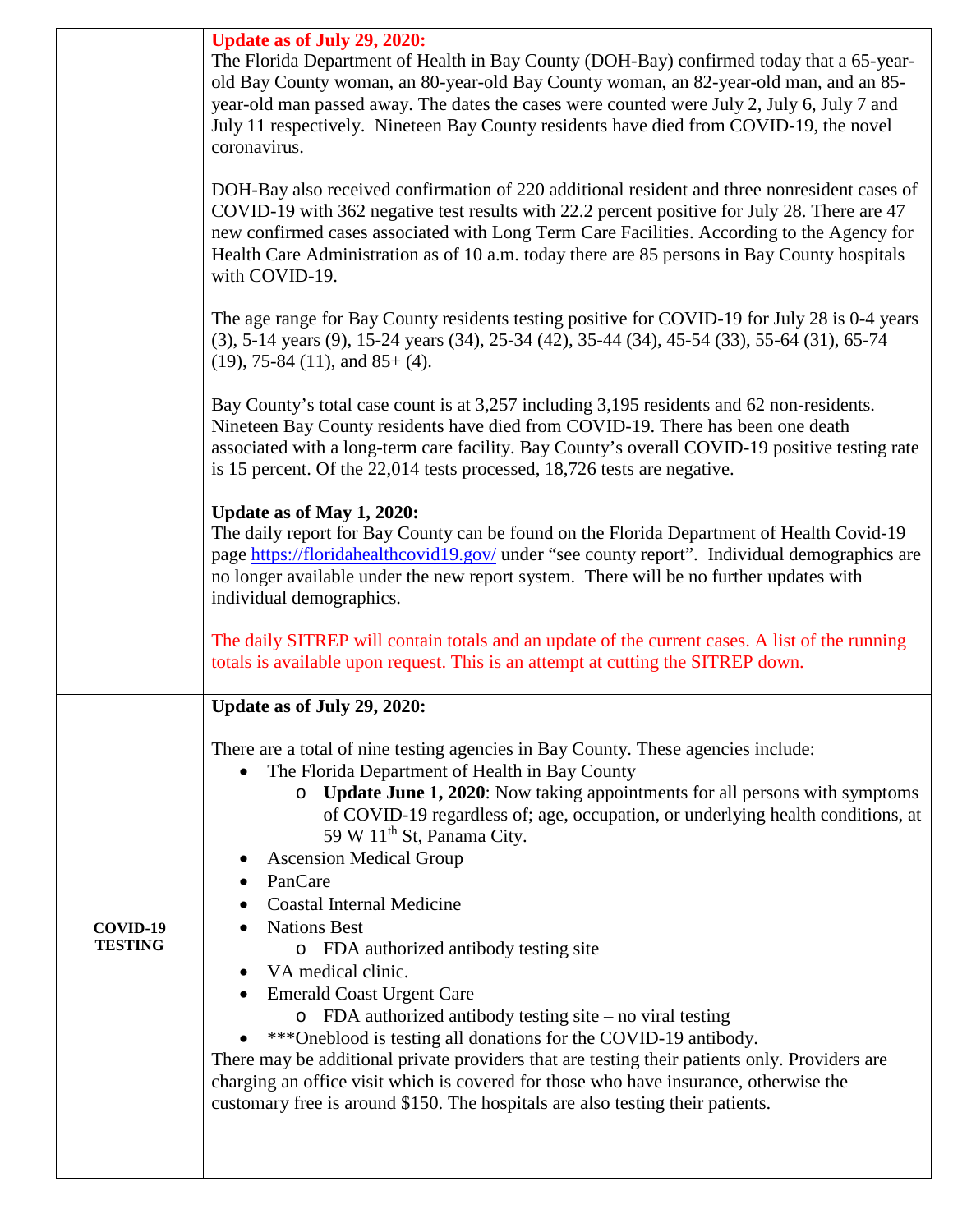|                            | Update as of July 29, 2020:<br>The Florida Department of Health in Bay County (DOH-Bay) confirmed today that a 65-year-<br>old Bay County woman, an 80-year-old Bay County woman, an 82-year-old man, and an 85-<br>year-old man passed away. The dates the cases were counted were July 2, July 6, July 7 and<br>July 11 respectively. Nineteen Bay County residents have died from COVID-19, the novel<br>coronavirus.                                                                                                                                     |
|----------------------------|--------------------------------------------------------------------------------------------------------------------------------------------------------------------------------------------------------------------------------------------------------------------------------------------------------------------------------------------------------------------------------------------------------------------------------------------------------------------------------------------------------------------------------------------------------------|
|                            | DOH-Bay also received confirmation of 220 additional resident and three nonresident cases of<br>COVID-19 with 362 negative test results with 22.2 percent positive for July 28. There are 47<br>new confirmed cases associated with Long Term Care Facilities. According to the Agency for<br>Health Care Administration as of 10 a.m. today there are 85 persons in Bay County hospitals<br>with COVID-19.                                                                                                                                                  |
|                            | The age range for Bay County residents testing positive for COVID-19 for July 28 is 0-4 years<br>$(3)$ , 5-14 years $(9)$ , 15-24 years $(34)$ , 25-34 $(42)$ , 35-44 $(34)$ , 45-54 $(33)$ , 55-64 $(31)$ , 65-74<br>$(19)$ , 75-84 $(11)$ , and 85+ $(4)$ .                                                                                                                                                                                                                                                                                                |
|                            | Bay County's total case count is at 3,257 including 3,195 residents and 62 non-residents.<br>Nineteen Bay County residents have died from COVID-19. There has been one death<br>associated with a long-term care facility. Bay County's overall COVID-19 positive testing rate<br>is 15 percent. Of the 22,014 tests processed, 18,726 tests are negative.                                                                                                                                                                                                   |
|                            | Update as of May 1, 2020:<br>The daily report for Bay County can be found on the Florida Department of Health Covid-19<br>page https://floridahealthcovid19.gov/ under "see county report". Individual demographics are<br>no longer available under the new report system. There will be no further updates with<br>individual demographics.                                                                                                                                                                                                                |
|                            | The daily SITREP will contain totals and an update of the current cases. A list of the running<br>totals is available upon request. This is an attempt at cutting the SITREP down.                                                                                                                                                                                                                                                                                                                                                                           |
|                            | Update as of July 29, 2020:                                                                                                                                                                                                                                                                                                                                                                                                                                                                                                                                  |
| COVID-19<br><b>TESTING</b> | There are a total of nine testing agencies in Bay County. These agencies include:<br>The Florida Department of Health in Bay County<br>o Update June 1, 2020: Now taking appointments for all persons with symptoms<br>of COVID-19 regardless of; age, occupation, or underlying health conditions, at<br>59 W 11 <sup>th</sup> St, Panama City.<br><b>Ascension Medical Group</b><br>PanCare<br><b>Coastal Internal Medicine</b><br><b>Nations Best</b><br>o FDA authorized antibody testing site<br>VA medical clinic.<br><b>Emerald Coast Urgent Care</b> |
|                            | $\circ$ FDA authorized antibody testing site – no viral testing<br>***Oneblood is testing all donations for the COVID-19 antibody.<br>There may be additional private providers that are testing their patients only. Providers are<br>charging an office visit which is covered for those who have insurance, otherwise the<br>customary free is around \$150. The hospitals are also testing their patients.                                                                                                                                               |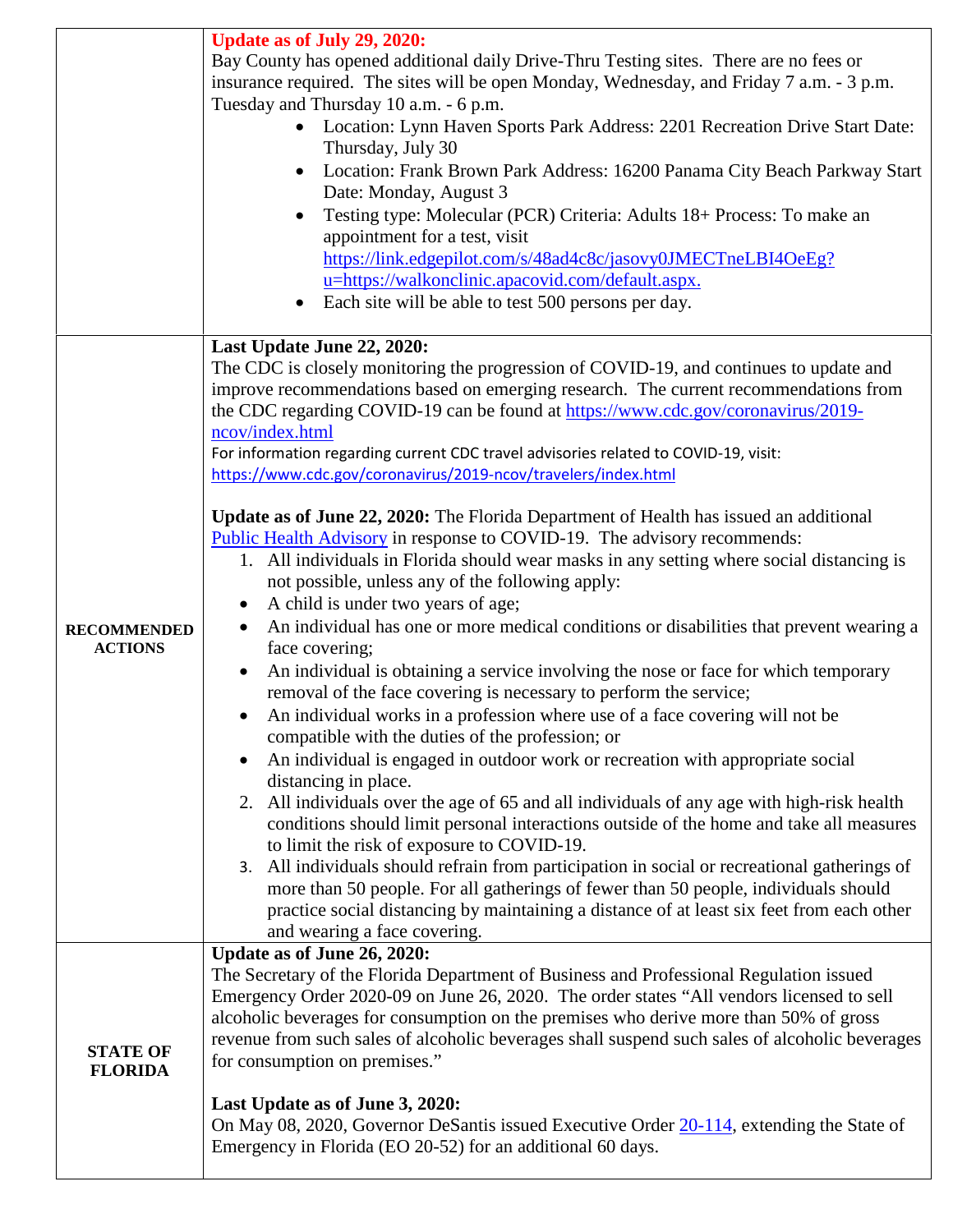|                                      | <b>Update as of July 29, 2020:</b><br>Bay County has opened additional daily Drive-Thru Testing sites. There are no fees or<br>insurance required. The sites will be open Monday, Wednesday, and Friday 7 a.m. - 3 p.m.<br>Tuesday and Thursday 10 a.m. - 6 p.m.<br>Location: Lynn Haven Sports Park Address: 2201 Recreation Drive Start Date:<br>Thursday, July 30<br>Location: Frank Brown Park Address: 16200 Panama City Beach Parkway Start<br>Date: Monday, August 3<br>Testing type: Molecular (PCR) Criteria: Adults 18+ Process: To make an<br>appointment for a test, visit<br>https://link.edgepilot.com/s/48ad4c8c/jasovy0JMECTneLBI4OeEg?<br>u=https://walkonclinic.apacovid.com/default.aspx.<br>Each site will be able to test 500 persons per day.                                                                                                                                                                                                                                                                                                                                                                                                                                                                                                                                                                                                                                                                                                                                                                                                                                                                                                                                                                                                                                                                                                                             |
|--------------------------------------|-------------------------------------------------------------------------------------------------------------------------------------------------------------------------------------------------------------------------------------------------------------------------------------------------------------------------------------------------------------------------------------------------------------------------------------------------------------------------------------------------------------------------------------------------------------------------------------------------------------------------------------------------------------------------------------------------------------------------------------------------------------------------------------------------------------------------------------------------------------------------------------------------------------------------------------------------------------------------------------------------------------------------------------------------------------------------------------------------------------------------------------------------------------------------------------------------------------------------------------------------------------------------------------------------------------------------------------------------------------------------------------------------------------------------------------------------------------------------------------------------------------------------------------------------------------------------------------------------------------------------------------------------------------------------------------------------------------------------------------------------------------------------------------------------------------------------------------------------------------------------------------------------|
|                                      | Last Update June 22, 2020:                                                                                                                                                                                                                                                                                                                                                                                                                                                                                                                                                                                                                                                                                                                                                                                                                                                                                                                                                                                                                                                                                                                                                                                                                                                                                                                                                                                                                                                                                                                                                                                                                                                                                                                                                                                                                                                                      |
| <b>RECOMMENDED</b><br><b>ACTIONS</b> | The CDC is closely monitoring the progression of COVID-19, and continues to update and<br>improve recommendations based on emerging research. The current recommendations from<br>the CDC regarding COVID-19 can be found at https://www.cdc.gov/coronavirus/2019-<br>ncov/index.html<br>For information regarding current CDC travel advisories related to COVID-19, visit:<br>https://www.cdc.gov/coronavirus/2019-ncov/travelers/index.html<br>Update as of June 22, 2020: The Florida Department of Health has issued an additional<br>Public Health Advisory in response to COVID-19. The advisory recommends:<br>1. All individuals in Florida should wear masks in any setting where social distancing is<br>not possible, unless any of the following apply:<br>A child is under two years of age;<br>An individual has one or more medical conditions or disabilities that prevent wearing a<br>face covering;<br>An individual is obtaining a service involving the nose or face for which temporary<br>removal of the face covering is necessary to perform the service;<br>An individual works in a profession where use of a face covering will not be<br>compatible with the duties of the profession; or<br>An individual is engaged in outdoor work or recreation with appropriate social<br>distancing in place.<br>2. All individuals over the age of 65 and all individuals of any age with high-risk health<br>conditions should limit personal interactions outside of the home and take all measures<br>to limit the risk of exposure to COVID-19.<br>All individuals should refrain from participation in social or recreational gatherings of<br>3.<br>more than 50 people. For all gatherings of fewer than 50 people, individuals should<br>practice social distancing by maintaining a distance of at least six feet from each other<br>and wearing a face covering. |
| <b>STATE OF</b><br><b>FLORIDA</b>    | Update as of June 26, 2020:<br>The Secretary of the Florida Department of Business and Professional Regulation issued<br>Emergency Order 2020-09 on June 26, 2020. The order states "All vendors licensed to sell<br>alcoholic beverages for consumption on the premises who derive more than 50% of gross<br>revenue from such sales of alcoholic beverages shall suspend such sales of alcoholic beverages<br>for consumption on premises."<br>Last Update as of June 3, 2020:<br>On May 08, 2020, Governor DeSantis issued Executive Order 20-114, extending the State of<br>Emergency in Florida (EO 20-52) for an additional 60 days.                                                                                                                                                                                                                                                                                                                                                                                                                                                                                                                                                                                                                                                                                                                                                                                                                                                                                                                                                                                                                                                                                                                                                                                                                                                      |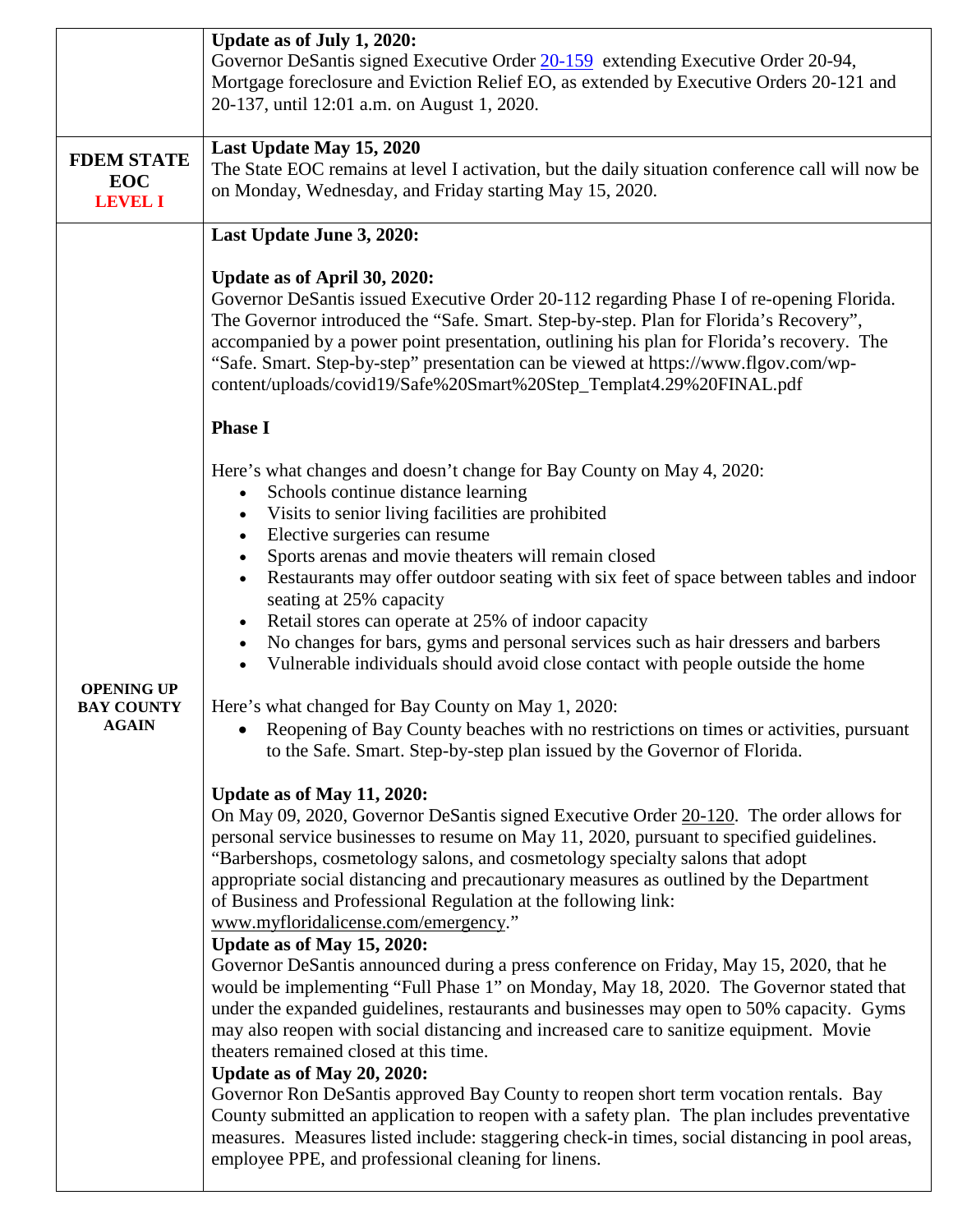|                   | Update as of July 1, 2020:                                                                             |
|-------------------|--------------------------------------------------------------------------------------------------------|
|                   | Governor DeSantis signed Executive Order 20-159 extending Executive Order 20-94,                       |
|                   | Mortgage foreclosure and Eviction Relief EO, as extended by Executive Orders 20-121 and                |
|                   | 20-137, until 12:01 a.m. on August 1, 2020.                                                            |
|                   |                                                                                                        |
|                   | Last Update May 15, 2020                                                                               |
| <b>FDEM STATE</b> | The State EOC remains at level I activation, but the daily situation conference call will now be       |
| <b>EOC</b>        | on Monday, Wednesday, and Friday starting May 15, 2020.                                                |
| <b>LEVEL I</b>    |                                                                                                        |
|                   | Last Update June 3, 2020:                                                                              |
|                   |                                                                                                        |
|                   | Update as of April 30, 2020:                                                                           |
|                   | Governor DeSantis issued Executive Order 20-112 regarding Phase I of re-opening Florida.               |
|                   | The Governor introduced the "Safe. Smart. Step-by-step. Plan for Florida's Recovery",                  |
|                   | accompanied by a power point presentation, outlining his plan for Florida's recovery. The              |
|                   | "Safe. Smart. Step-by-step" presentation can be viewed at https://www.flgov.com/wp-                    |
|                   | content/uploads/covid19/Safe%20Smart%20Step_Templat4.29%20FINAL.pdf                                    |
|                   |                                                                                                        |
|                   | <b>Phase I</b>                                                                                         |
|                   |                                                                                                        |
|                   | Here's what changes and doesn't change for Bay County on May 4, 2020:                                  |
|                   | Schools continue distance learning<br>$\bullet$                                                        |
|                   | Visits to senior living facilities are prohibited                                                      |
|                   | Elective surgeries can resume                                                                          |
|                   | Sports arenas and movie theaters will remain closed                                                    |
|                   | Restaurants may offer outdoor seating with six feet of space between tables and indoor                 |
|                   | seating at 25% capacity                                                                                |
|                   | Retail stores can operate at 25% of indoor capacity                                                    |
|                   | No changes for bars, gyms and personal services such as hair dressers and barbers<br>$\bullet$         |
|                   | Vulnerable individuals should avoid close contact with people outside the home                         |
| <b>OPENING UP</b> |                                                                                                        |
| <b>BAY COUNTY</b> | Here's what changed for Bay County on May 1, 2020:                                                     |
| <b>AGAIN</b>      | Reopening of Bay County beaches with no restrictions on times or activities, pursuant                  |
|                   | to the Safe. Smart. Step-by-step plan issued by the Governor of Florida.                               |
|                   |                                                                                                        |
|                   | Update as of May 11, 2020:                                                                             |
|                   | On May 09, 2020, Governor DeSantis signed Executive Order 20-120. The order allows for                 |
|                   | personal service businesses to resume on May 11, 2020, pursuant to specified guidelines.               |
|                   | "Barbershops, cosmetology salons, and cosmetology specialty salons that adopt                          |
|                   | appropriate social distancing and precautionary measures as outlined by the Department                 |
|                   | of Business and Professional Regulation at the following link:<br>www.myfloridalicense.com/emergency." |
|                   | Update as of May 15, 2020:                                                                             |
|                   | Governor DeSantis announced during a press conference on Friday, May 15, 2020, that he                 |
|                   | would be implementing "Full Phase 1" on Monday, May 18, 2020. The Governor stated that                 |
|                   | under the expanded guidelines, restaurants and businesses may open to 50% capacity. Gyms               |
|                   | may also reopen with social distancing and increased care to sanitize equipment. Movie                 |
|                   | theaters remained closed at this time.                                                                 |
|                   | Update as of May 20, 2020:                                                                             |
|                   | Governor Ron DeSantis approved Bay County to reopen short term vocation rentals. Bay                   |
|                   | County submitted an application to reopen with a safety plan. The plan includes preventative           |
|                   | measures. Measures listed include: staggering check-in times, social distancing in pool areas,         |
|                   | employee PPE, and professional cleaning for linens.                                                    |
|                   |                                                                                                        |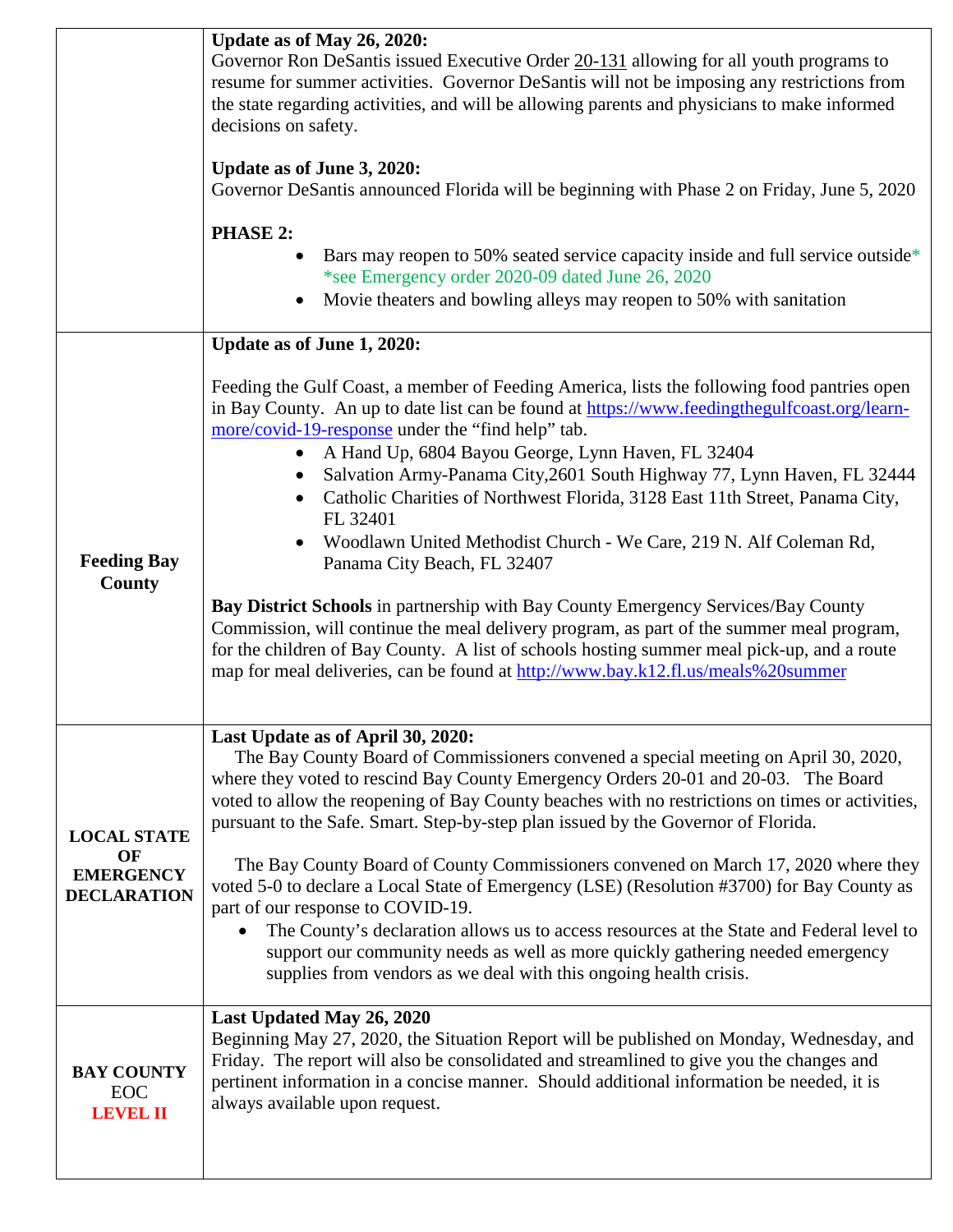|                                                                    | Update as of May 26, 2020:<br>Governor Ron DeSantis issued Executive Order 20-131 allowing for all youth programs to<br>resume for summer activities. Governor DeSantis will not be imposing any restrictions from<br>the state regarding activities, and will be allowing parents and physicians to make informed<br>decisions on safety.<br>Update as of June 3, 2020:<br>Governor DeSantis announced Florida will be beginning with Phase 2 on Friday, June 5, 2020<br><b>PHASE 2:</b><br>Bars may reopen to 50% seated service capacity inside and full service outside*<br>*see Emergency order 2020-09 dated June 26, 2020<br>Movie theaters and bowling alleys may reopen to 50% with sanitation                                                                                                                                                                                                                                                                             |
|--------------------------------------------------------------------|-------------------------------------------------------------------------------------------------------------------------------------------------------------------------------------------------------------------------------------------------------------------------------------------------------------------------------------------------------------------------------------------------------------------------------------------------------------------------------------------------------------------------------------------------------------------------------------------------------------------------------------------------------------------------------------------------------------------------------------------------------------------------------------------------------------------------------------------------------------------------------------------------------------------------------------------------------------------------------------|
| <b>Feeding Bay</b><br><b>County</b>                                | Update as of June 1, 2020:<br>Feeding the Gulf Coast, a member of Feeding America, lists the following food pantries open<br>in Bay County. An up to date list can be found at https://www.feedingthegulfcoast.org/learn-<br>more/covid-19-response under the "find help" tab.<br>A Hand Up, 6804 Bayou George, Lynn Haven, FL 32404<br>Salvation Army-Panama City, 2601 South Highway 77, Lynn Haven, FL 32444<br>Catholic Charities of Northwest Florida, 3128 East 11th Street, Panama City,<br>FL 32401<br>Woodlawn United Methodist Church - We Care, 219 N. Alf Coleman Rd,<br>Panama City Beach, FL 32407<br>Bay District Schools in partnership with Bay County Emergency Services/Bay County<br>Commission, will continue the meal delivery program, as part of the summer meal program,<br>for the children of Bay County. A list of schools hosting summer meal pick-up, and a route<br>map for meal deliveries, can be found at http://www.bay.k12.fl.us/meals%20summer |
| <b>LOCAL STATE</b><br>OF<br><b>EMERGENCY</b><br><b>DECLARATION</b> | Last Update as of April 30, 2020:<br>The Bay County Board of Commissioners convened a special meeting on April 30, 2020,<br>where they voted to rescind Bay County Emergency Orders 20-01 and 20-03. The Board<br>voted to allow the reopening of Bay County beaches with no restrictions on times or activities,<br>pursuant to the Safe. Smart. Step-by-step plan issued by the Governor of Florida.<br>The Bay County Board of County Commissioners convened on March 17, 2020 where they<br>voted 5-0 to declare a Local State of Emergency (LSE) (Resolution #3700) for Bay County as<br>part of our response to COVID-19.<br>The County's declaration allows us to access resources at the State and Federal level to<br>support our community needs as well as more quickly gathering needed emergency<br>supplies from vendors as we deal with this ongoing health crisis.                                                                                                  |
| <b>BAY COUNTY</b><br><b>EOC</b><br><b>LEVEL II</b>                 | Last Updated May 26, 2020<br>Beginning May 27, 2020, the Situation Report will be published on Monday, Wednesday, and<br>Friday. The report will also be consolidated and streamlined to give you the changes and<br>pertinent information in a concise manner. Should additional information be needed, it is<br>always available upon request.                                                                                                                                                                                                                                                                                                                                                                                                                                                                                                                                                                                                                                    |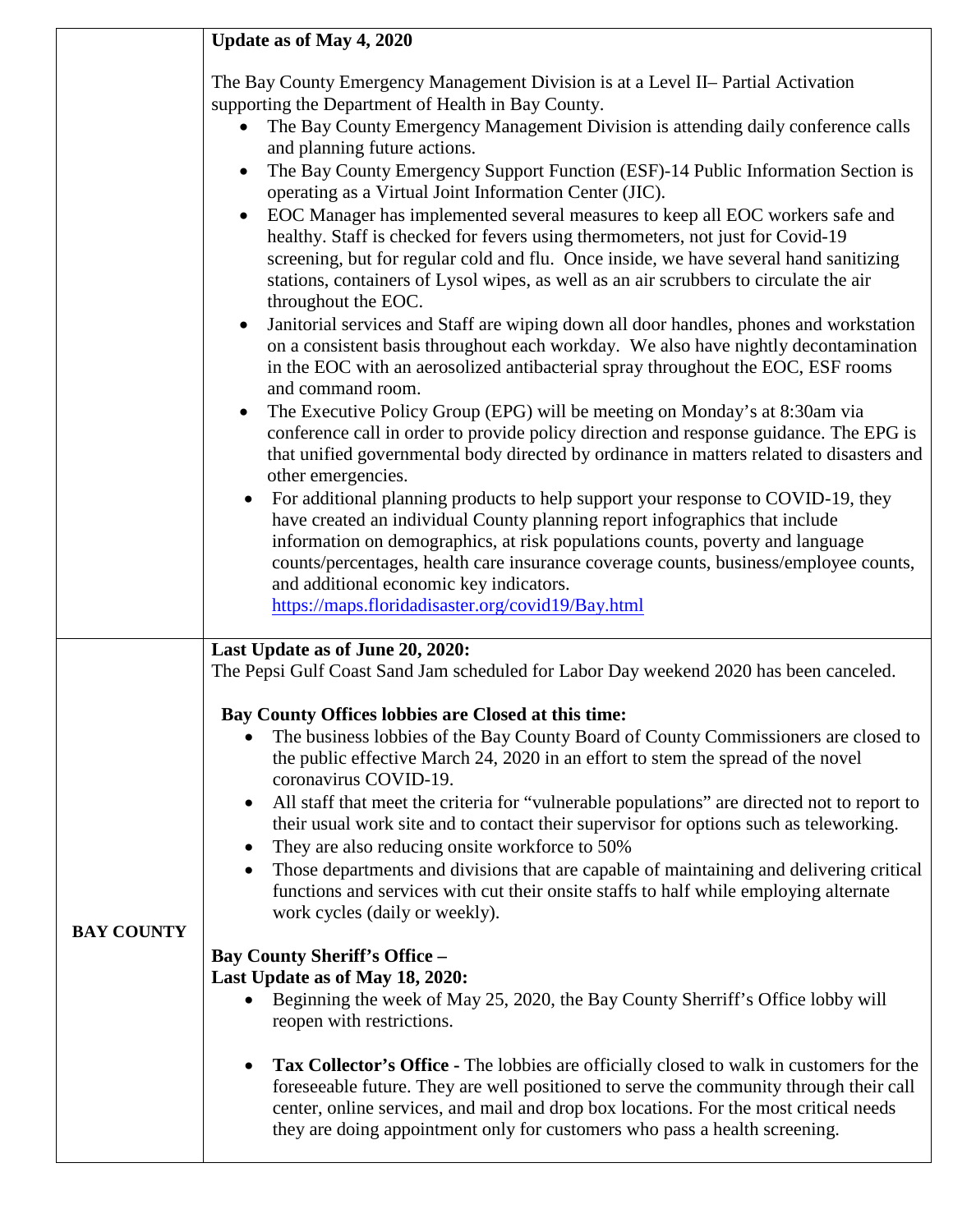|                   | Update as of May 4, 2020                                                                                                                                                                                                                                                                                                                                                                                                                                                                                                                                                                                                                                                                                                                                                                                                                                                                                                                                                                                                                                                                                                                                                                                                                                                                                                                                                                                                                                                                                                                                                                                                                                                                                                                                                                                                           |
|-------------------|------------------------------------------------------------------------------------------------------------------------------------------------------------------------------------------------------------------------------------------------------------------------------------------------------------------------------------------------------------------------------------------------------------------------------------------------------------------------------------------------------------------------------------------------------------------------------------------------------------------------------------------------------------------------------------------------------------------------------------------------------------------------------------------------------------------------------------------------------------------------------------------------------------------------------------------------------------------------------------------------------------------------------------------------------------------------------------------------------------------------------------------------------------------------------------------------------------------------------------------------------------------------------------------------------------------------------------------------------------------------------------------------------------------------------------------------------------------------------------------------------------------------------------------------------------------------------------------------------------------------------------------------------------------------------------------------------------------------------------------------------------------------------------------------------------------------------------|
|                   | The Bay County Emergency Management Division is at a Level II- Partial Activation<br>supporting the Department of Health in Bay County.<br>The Bay County Emergency Management Division is attending daily conference calls<br>and planning future actions.<br>The Bay County Emergency Support Function (ESF)-14 Public Information Section is<br>operating as a Virtual Joint Information Center (JIC).<br>EOC Manager has implemented several measures to keep all EOC workers safe and<br>healthy. Staff is checked for fevers using thermometers, not just for Covid-19<br>screening, but for regular cold and flu. Once inside, we have several hand sanitizing<br>stations, containers of Lysol wipes, as well as an air scrubbers to circulate the air<br>throughout the EOC.<br>Janitorial services and Staff are wiping down all door handles, phones and workstation<br>on a consistent basis throughout each workday. We also have nightly decontamination<br>in the EOC with an aerosolized antibacterial spray throughout the EOC, ESF rooms<br>and command room.<br>The Executive Policy Group (EPG) will be meeting on Monday's at 8:30am via<br>$\bullet$<br>conference call in order to provide policy direction and response guidance. The EPG is<br>that unified governmental body directed by ordinance in matters related to disasters and<br>other emergencies.<br>For additional planning products to help support your response to COVID-19, they<br>have created an individual County planning report infographics that include<br>information on demographics, at risk populations counts, poverty and language<br>counts/percentages, health care insurance coverage counts, business/employee counts,<br>and additional economic key indicators.<br>https://maps.floridadisaster.org/covid19/Bay.html |
| <b>BAY COUNTY</b> | Last Update as of June 20, 2020:<br>The Pepsi Gulf Coast Sand Jam scheduled for Labor Day weekend 2020 has been canceled.<br>Bay County Offices lobbies are Closed at this time:<br>The business lobbies of the Bay County Board of County Commissioners are closed to<br>the public effective March 24, 2020 in an effort to stem the spread of the novel<br>coronavirus COVID-19.<br>All staff that meet the criteria for "vulnerable populations" are directed not to report to<br>$\bullet$<br>their usual work site and to contact their supervisor for options such as teleworking.<br>They are also reducing onsite workforce to 50%<br>$\bullet$<br>Those departments and divisions that are capable of maintaining and delivering critical<br>$\bullet$<br>functions and services with cut their onsite staffs to half while employing alternate<br>work cycles (daily or weekly).<br><b>Bay County Sheriff's Office -</b><br>Last Update as of May 18, 2020:<br>Beginning the week of May 25, 2020, the Bay County Sherriff's Office lobby will<br>$\bullet$<br>reopen with restrictions.<br>Tax Collector's Office - The lobbies are officially closed to walk in customers for the<br>$\bullet$<br>foreseeable future. They are well positioned to serve the community through their call<br>center, online services, and mail and drop box locations. For the most critical needs<br>they are doing appointment only for customers who pass a health screening.                                                                                                                                                                                                                                                                                                                                                       |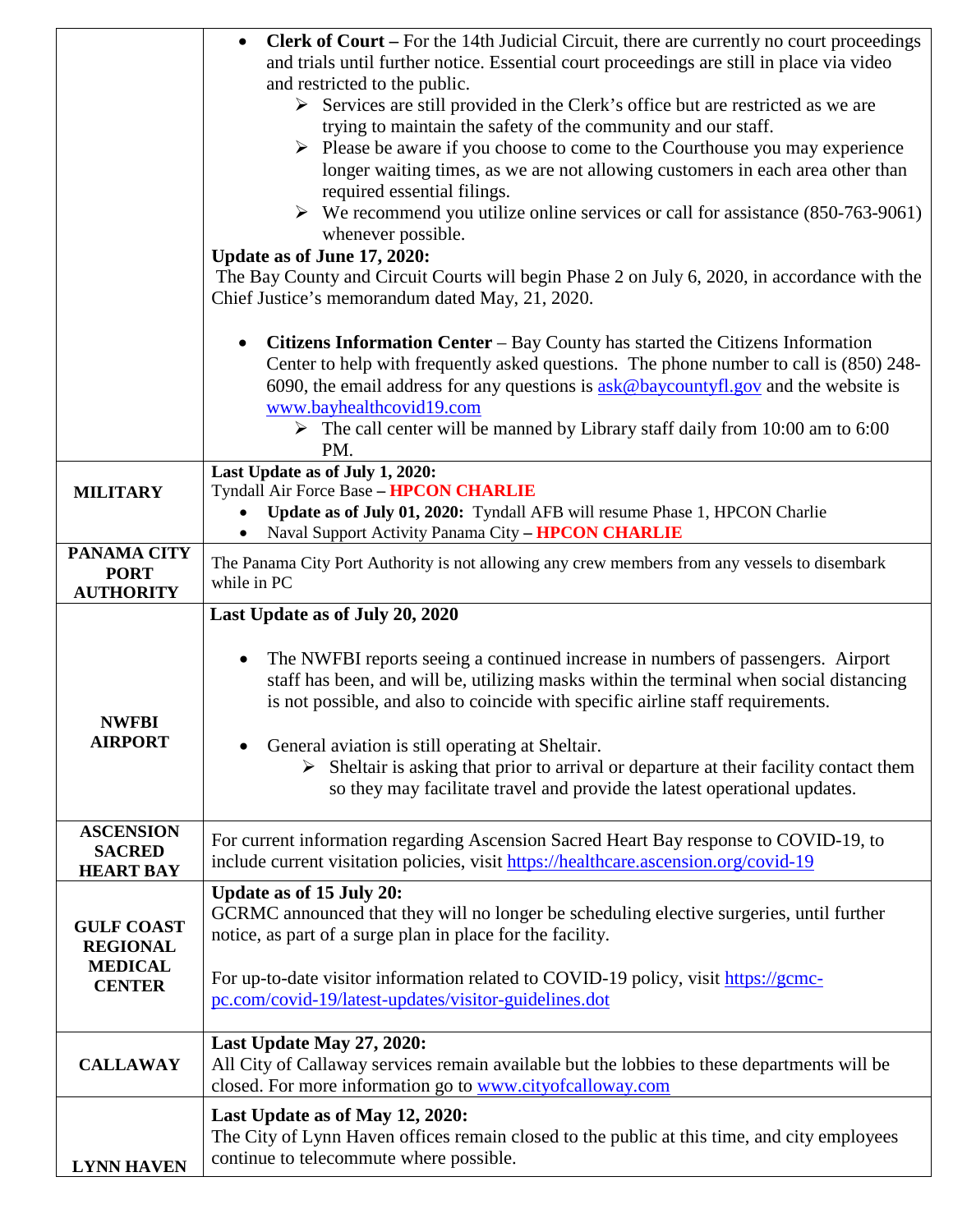|                   | <b>Clerk of Court</b> – For the 14th Judicial Circuit, there are currently no court proceedings<br>$\bullet$                                             |
|-------------------|----------------------------------------------------------------------------------------------------------------------------------------------------------|
|                   | and trials until further notice. Essential court proceedings are still in place via video                                                                |
|                   | and restricted to the public.                                                                                                                            |
|                   | $\triangleright$ Services are still provided in the Clerk's office but are restricted as we are                                                          |
|                   | trying to maintain the safety of the community and our staff.                                                                                            |
|                   | $\triangleright$ Please be aware if you choose to come to the Courthouse you may experience                                                              |
|                   | longer waiting times, as we are not allowing customers in each area other than                                                                           |
|                   | required essential filings.                                                                                                                              |
|                   | $\triangleright$ We recommend you utilize online services or call for assistance (850-763-9061)                                                          |
|                   | whenever possible.                                                                                                                                       |
|                   | Update as of June 17, 2020:                                                                                                                              |
|                   | The Bay County and Circuit Courts will begin Phase 2 on July 6, 2020, in accordance with the                                                             |
|                   | Chief Justice's memorandum dated May, 21, 2020.                                                                                                          |
|                   |                                                                                                                                                          |
|                   | <b>Citizens Information Center – Bay County has started the Citizens Information</b>                                                                     |
|                   | Center to help with frequently asked questions. The phone number to call is (850) 248-                                                                   |
|                   | 6090, the email address for any questions is $a$ sk@baycountyfl.gov and the website is                                                                   |
|                   | www.bayhealthcovid19.com                                                                                                                                 |
|                   | $\triangleright$ The call center will be manned by Library staff daily from 10:00 am to 6:00                                                             |
|                   | PM.                                                                                                                                                      |
|                   | Last Update as of July 1, 2020:                                                                                                                          |
| <b>MILITARY</b>   | Tyndall Air Force Base - HPCON CHARLIE                                                                                                                   |
|                   | Update as of July 01, 2020: Tyndall AFB will resume Phase 1, HPCON Charlie                                                                               |
|                   | Naval Support Activity Panama City - HPCON CHARLIE                                                                                                       |
| PANAMA CITY       | The Panama City Port Authority is not allowing any crew members from any vessels to disembark                                                            |
| <b>PORT</b>       | while in PC                                                                                                                                              |
|                   |                                                                                                                                                          |
| <b>AUTHORITY</b>  |                                                                                                                                                          |
|                   | Last Update as of July 20, 2020                                                                                                                          |
|                   |                                                                                                                                                          |
|                   | The NWFBI reports seeing a continued increase in numbers of passengers. Airport                                                                          |
|                   | staff has been, and will be, utilizing masks within the terminal when social distancing                                                                  |
|                   | is not possible, and also to coincide with specific airline staff requirements.                                                                          |
| <b>NWFBI</b>      |                                                                                                                                                          |
| <b>AIRPORT</b>    | General aviation is still operating at Sheltair.                                                                                                         |
|                   | $\triangleright$ Sheltair is asking that prior to arrival or departure at their facility contact them                                                    |
|                   | so they may facilitate travel and provide the latest operational updates.                                                                                |
|                   |                                                                                                                                                          |
| <b>ASCENSION</b>  | For current information regarding Ascension Sacred Heart Bay response to COVID-19, to                                                                    |
| <b>SACRED</b>     | include current visitation policies, visit https://healthcare.ascension.org/covid-19                                                                     |
| <b>HEART BAY</b>  |                                                                                                                                                          |
|                   | <b>Update as of 15 July 20:</b>                                                                                                                          |
| <b>GULF COAST</b> | GCRMC announced that they will no longer be scheduling elective surgeries, until further                                                                 |
| <b>REGIONAL</b>   | notice, as part of a surge plan in place for the facility.                                                                                               |
| <b>MEDICAL</b>    |                                                                                                                                                          |
| <b>CENTER</b>     | For up-to-date visitor information related to COVID-19 policy, visit https://gcmc-                                                                       |
|                   | pc.com/covid-19/latest-updates/visitor-guidelines.dot                                                                                                    |
|                   |                                                                                                                                                          |
| <b>CALLAWAY</b>   | Last Update May 27, 2020:                                                                                                                                |
|                   | All City of Callaway services remain available but the lobbies to these departments will be<br>closed. For more information go to www.cityofcalloway.com |
|                   |                                                                                                                                                          |
|                   | Last Update as of May 12, 2020:                                                                                                                          |
| <b>LYNN HAVEN</b> | The City of Lynn Haven offices remain closed to the public at this time, and city employees<br>continue to telecommute where possible.                   |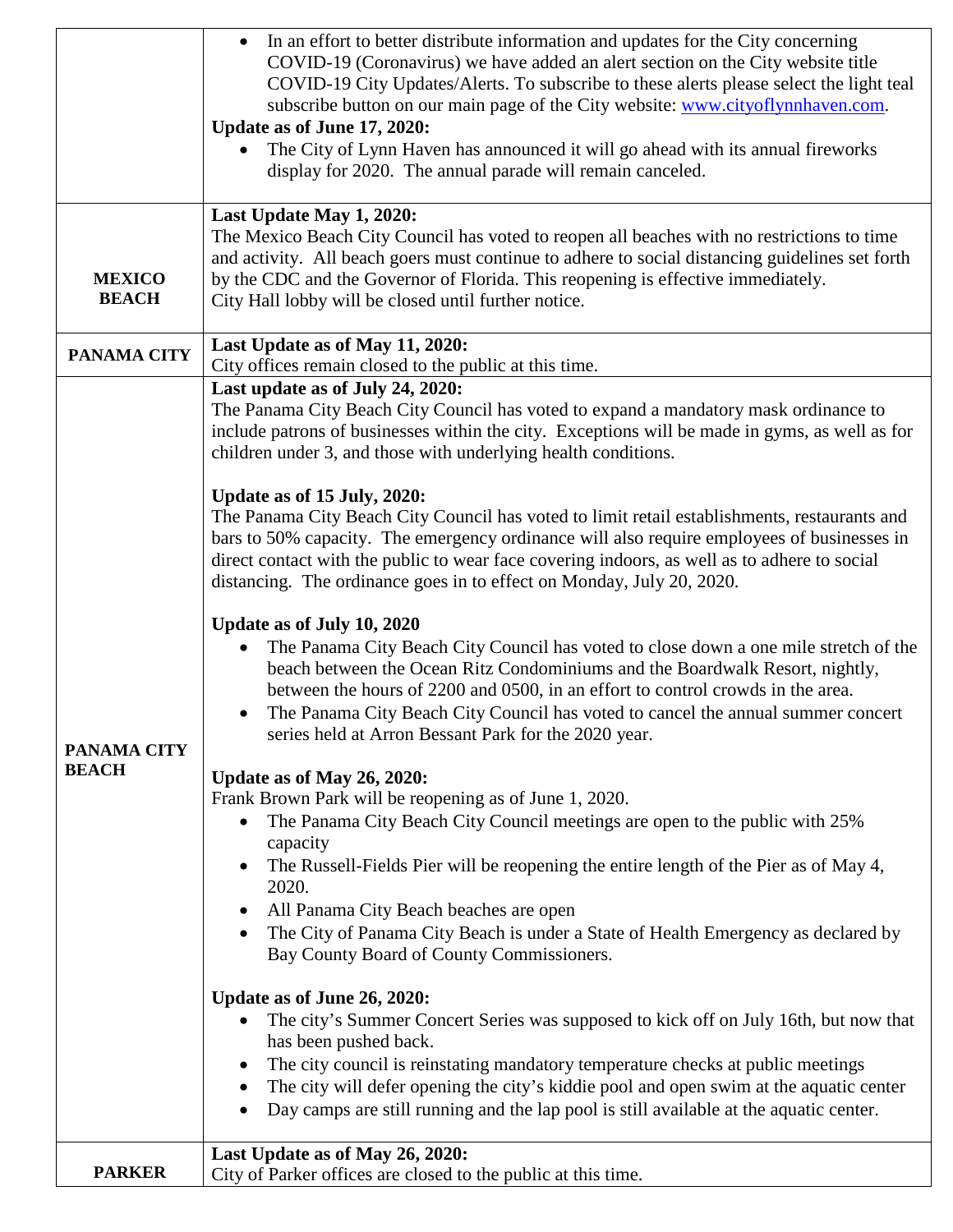|                               | In an effort to better distribute information and updates for the City concerning<br>COVID-19 (Coronavirus) we have added an alert section on the City website title<br>COVID-19 City Updates/Alerts. To subscribe to these alerts please select the light teal<br>subscribe button on our main page of the City website: www.cityoflynnhaven.com.<br>Update as of June 17, 2020:<br>The City of Lynn Haven has announced it will go ahead with its annual fireworks<br>display for 2020. The annual parade will remain canceled. |
|-------------------------------|-----------------------------------------------------------------------------------------------------------------------------------------------------------------------------------------------------------------------------------------------------------------------------------------------------------------------------------------------------------------------------------------------------------------------------------------------------------------------------------------------------------------------------------|
|                               |                                                                                                                                                                                                                                                                                                                                                                                                                                                                                                                                   |
| <b>MEXICO</b><br><b>BEACH</b> | Last Update May 1, 2020:<br>The Mexico Beach City Council has voted to reopen all beaches with no restrictions to time<br>and activity. All beach goers must continue to adhere to social distancing guidelines set forth<br>by the CDC and the Governor of Florida. This reopening is effective immediately.<br>City Hall lobby will be closed until further notice.                                                                                                                                                             |
| <b>PANAMA CITY</b>            | Last Update as of May 11, 2020:<br>City offices remain closed to the public at this time.                                                                                                                                                                                                                                                                                                                                                                                                                                         |
|                               | Last update as of July 24, 2020:                                                                                                                                                                                                                                                                                                                                                                                                                                                                                                  |
|                               | The Panama City Beach City Council has voted to expand a mandatory mask ordinance to<br>include patrons of businesses within the city. Exceptions will be made in gyms, as well as for<br>children under 3, and those with underlying health conditions.                                                                                                                                                                                                                                                                          |
|                               | Update as of 15 July, 2020:                                                                                                                                                                                                                                                                                                                                                                                                                                                                                                       |
|                               | The Panama City Beach City Council has voted to limit retail establishments, restaurants and<br>bars to 50% capacity. The emergency ordinance will also require employees of businesses in<br>direct contact with the public to wear face covering indoors, as well as to adhere to social<br>distancing. The ordinance goes in to effect on Monday, July 20, 2020.                                                                                                                                                               |
|                               |                                                                                                                                                                                                                                                                                                                                                                                                                                                                                                                                   |
| PANAMA CITY                   | Update as of July 10, 2020<br>The Panama City Beach City Council has voted to close down a one mile stretch of the<br>beach between the Ocean Ritz Condominiums and the Boardwalk Resort, nightly,<br>between the hours of 2200 and 0500, in an effort to control crowds in the area.<br>The Panama City Beach City Council has voted to cancel the annual summer concert<br>series held at Arron Bessant Park for the 2020 year.                                                                                                 |
| <b>BEACH</b>                  | Update as of May 26, 2020:                                                                                                                                                                                                                                                                                                                                                                                                                                                                                                        |
|                               | Frank Brown Park will be reopening as of June 1, 2020.                                                                                                                                                                                                                                                                                                                                                                                                                                                                            |
|                               | The Panama City Beach City Council meetings are open to the public with 25%<br>capacity                                                                                                                                                                                                                                                                                                                                                                                                                                           |
|                               | The Russell-Fields Pier will be reopening the entire length of the Pier as of May 4,<br>2020.                                                                                                                                                                                                                                                                                                                                                                                                                                     |
|                               | All Panama City Beach beaches are open                                                                                                                                                                                                                                                                                                                                                                                                                                                                                            |
|                               | The City of Panama City Beach is under a State of Health Emergency as declared by<br>Bay County Board of County Commissioners.                                                                                                                                                                                                                                                                                                                                                                                                    |
|                               |                                                                                                                                                                                                                                                                                                                                                                                                                                                                                                                                   |
|                               | Update as of June 26, 2020:<br>The city's Summer Concert Series was supposed to kick off on July 16th, but now that<br>has been pushed back.                                                                                                                                                                                                                                                                                                                                                                                      |
|                               | The city council is reinstating mandatory temperature checks at public meetings                                                                                                                                                                                                                                                                                                                                                                                                                                                   |
|                               | The city will defer opening the city's kiddie pool and open swim at the aquatic center<br>Day camps are still running and the lap pool is still available at the aquatic center.                                                                                                                                                                                                                                                                                                                                                  |
|                               | Last Update as of May 26, 2020:                                                                                                                                                                                                                                                                                                                                                                                                                                                                                                   |
| <b>PARKER</b>                 | City of Parker offices are closed to the public at this time.                                                                                                                                                                                                                                                                                                                                                                                                                                                                     |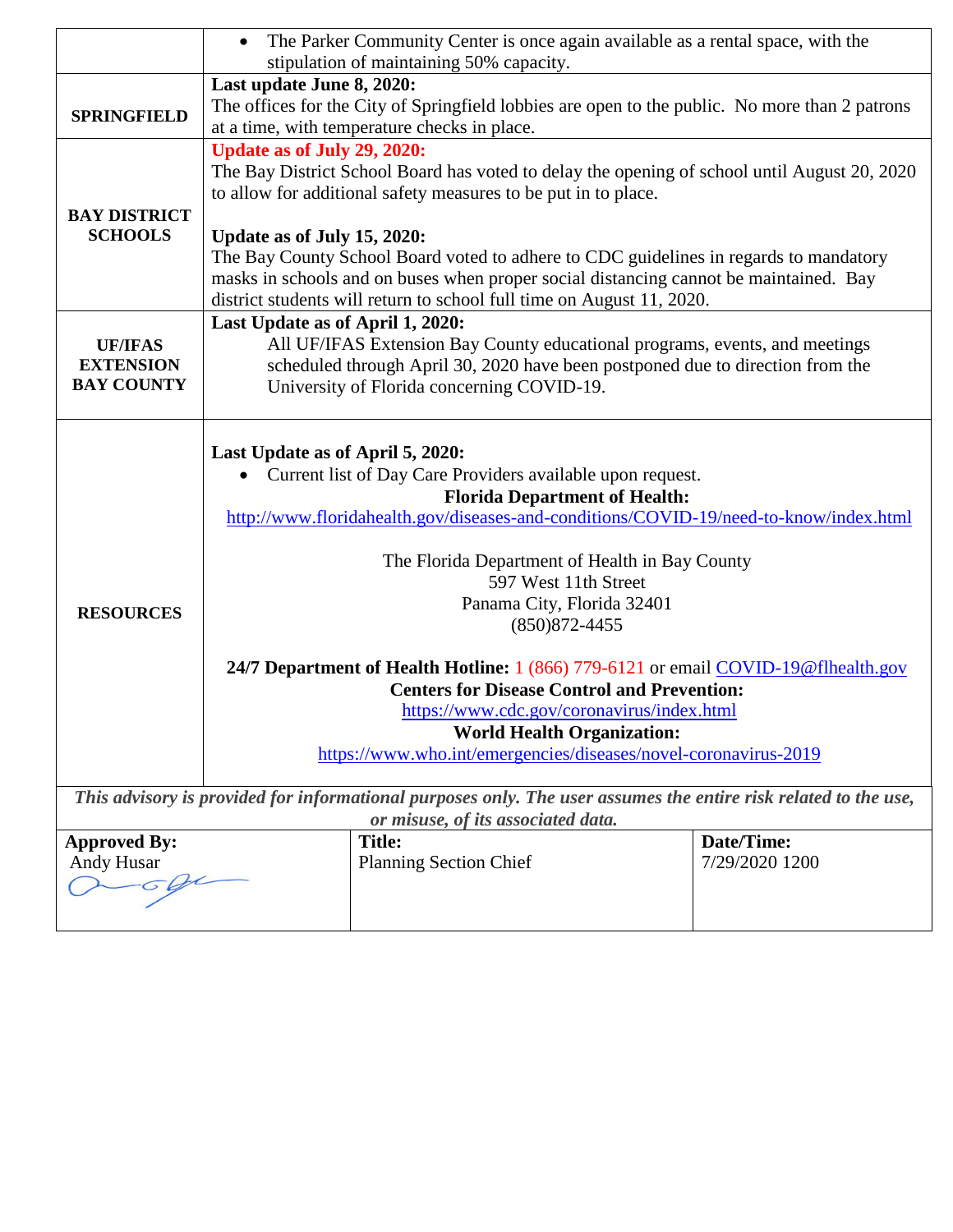|                                    |                                  | The Parker Community Center is once again available as a rental space, with the<br>stipulation of maintaining 50% capacity. |                |
|------------------------------------|----------------------------------|-----------------------------------------------------------------------------------------------------------------------------|----------------|
|                                    | Last update June 8, 2020:        |                                                                                                                             |                |
|                                    |                                  | The offices for the City of Springfield lobbies are open to the public. No more than 2 patrons                              |                |
| <b>SPRINGFIELD</b>                 |                                  | at a time, with temperature checks in place.                                                                                |                |
|                                    | Update as of July 29, 2020:      |                                                                                                                             |                |
|                                    |                                  | The Bay District School Board has voted to delay the opening of school until August 20, 2020                                |                |
|                                    |                                  | to allow for additional safety measures to be put in to place.                                                              |                |
| <b>BAY DISTRICT</b>                |                                  |                                                                                                                             |                |
| <b>SCHOOLS</b>                     | Update as of July 15, 2020:      |                                                                                                                             |                |
|                                    |                                  | The Bay County School Board voted to adhere to CDC guidelines in regards to mandatory                                       |                |
|                                    |                                  | masks in schools and on buses when proper social distancing cannot be maintained. Bay                                       |                |
|                                    |                                  | district students will return to school full time on August 11, 2020.                                                       |                |
|                                    |                                  |                                                                                                                             |                |
|                                    | Last Update as of April 1, 2020: | All UF/IFAS Extension Bay County educational programs, events, and meetings                                                 |                |
| <b>UF/IFAS</b><br><b>EXTENSION</b> |                                  | scheduled through April 30, 2020 have been postponed due to direction from the                                              |                |
| <b>BAY COUNTY</b>                  |                                  | University of Florida concerning COVID-19.                                                                                  |                |
|                                    |                                  |                                                                                                                             |                |
|                                    |                                  |                                                                                                                             |                |
|                                    | Last Update as of April 5, 2020: |                                                                                                                             |                |
|                                    |                                  | Current list of Day Care Providers available upon request.                                                                  |                |
|                                    |                                  | <b>Florida Department of Health:</b>                                                                                        |                |
|                                    |                                  | http://www.floridahealth.gov/diseases-and-conditions/COVID-19/need-to-know/index.html                                       |                |
|                                    |                                  |                                                                                                                             |                |
|                                    |                                  | The Florida Department of Health in Bay County                                                                              |                |
|                                    |                                  | 597 West 11th Street                                                                                                        |                |
| <b>RESOURCES</b>                   |                                  | Panama City, Florida 32401                                                                                                  |                |
|                                    |                                  | $(850)872 - 4455$                                                                                                           |                |
|                                    |                                  | 24/7 Department of Health Hotline: 1 (866) 779-6121 or email COVID-19@flhealth.gov                                          |                |
|                                    |                                  | <b>Centers for Disease Control and Prevention:</b>                                                                          |                |
|                                    |                                  | https://www.cdc.gov/coronavirus/index.html                                                                                  |                |
|                                    |                                  | <b>World Health Organization:</b>                                                                                           |                |
|                                    |                                  | https://www.who.int/emergencies/diseases/novel-coronavirus-2019                                                             |                |
|                                    |                                  |                                                                                                                             |                |
|                                    |                                  | This advisory is provided for informational purposes only. The user assumes the entire risk related to the use,             |                |
|                                    |                                  | or misuse, of its associated data.                                                                                          |                |
| <b>Approved By:</b>                |                                  | <b>Title:</b>                                                                                                               | Date/Time:     |
| Andy Husar                         |                                  | <b>Planning Section Chief</b>                                                                                               | 7/29/2020 1200 |
|                                    |                                  |                                                                                                                             |                |
|                                    |                                  |                                                                                                                             |                |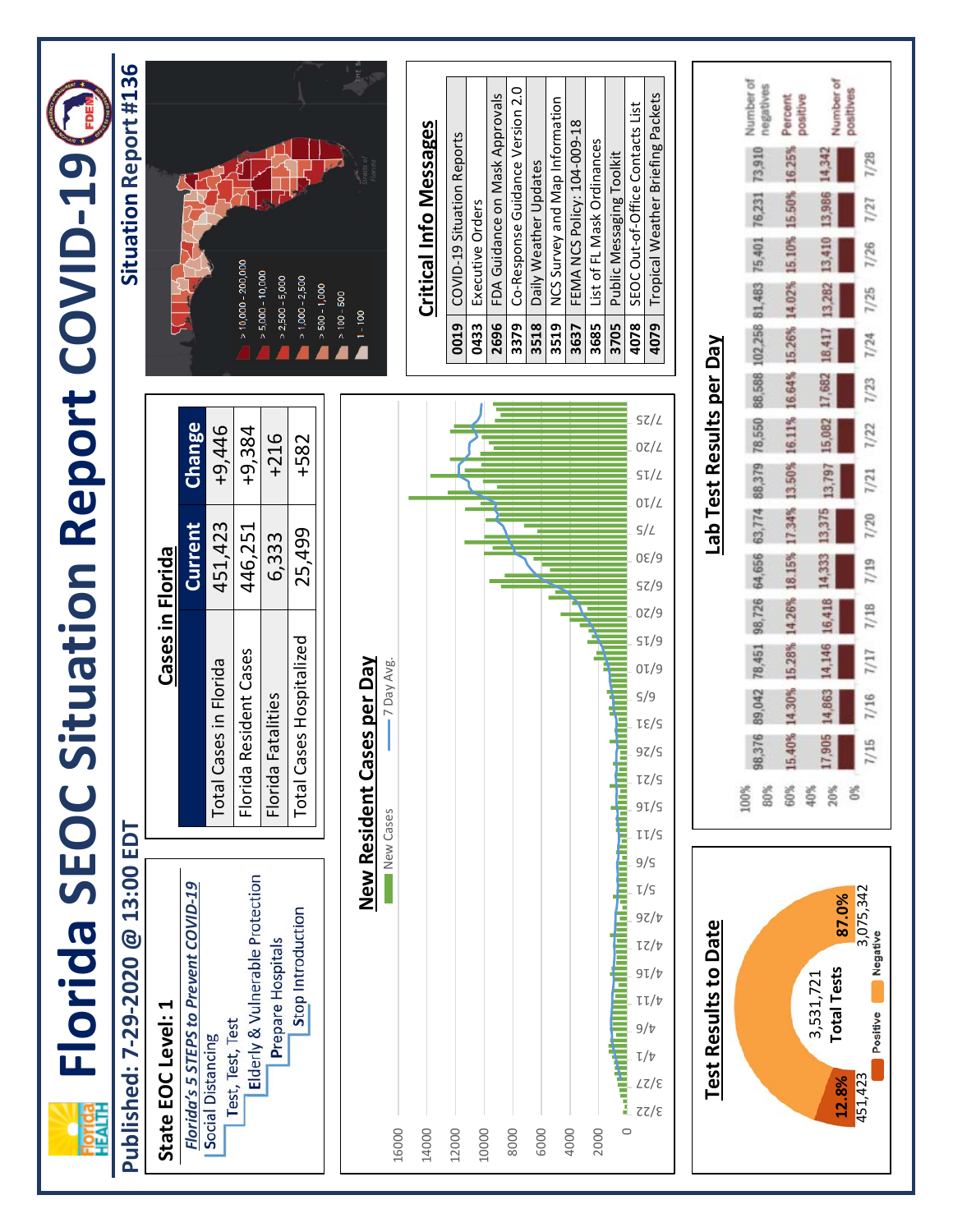| Ĭ                                               |
|-------------------------------------------------|
|                                                 |
|                                                 |
| Ĭ                                               |
| $\tilde{\zeta}$<br>)<br>J                       |
|                                                 |
| Ĩ,                                              |
| ֧֧֞֝֬֝֬֟֓֟֓֓֕֓֓֓֓֓֓֓֓֟֓֟֓֓֓֟֓֟֓֟֓֟֓֟֓֟֓֝֓֟<br>Ĺ |
| j                                               |
| <b>Pannet</b>                                   |
|                                                 |
| SCIL                                            |
|                                                 |
| $\frac{1}{1}$                                   |
|                                                 |
|                                                 |
|                                                 |
|                                                 |
|                                                 |
|                                                 |
|                                                 |
|                                                 |
|                                                 |
|                                                 |
|                                                 |
|                                                 |

## Published: 7-29-2020 @ 13:00 EDT **Published: 7-29-2020 @ 13:00 EDT**

| State EOC Level: 1                           | Cases in Florida         |                |          |
|----------------------------------------------|--------------------------|----------------|----------|
| Florida's 5 STEPS to Prevent COVID-19        |                          | Current Change |          |
| Test, Test, Test<br><b>Social Distancing</b> | Total Cases in Florida   | 451,423        | $+9,446$ |
| Elderly & Vulnerable Protection              | -Iorida Resident Cases   | 446,251        | $+9,384$ |
| Prepare Hospitals                            | Florida Fatalities       | 6.33           | $+216$   |
| Stop Introduction                            | Total Cases Hospitalized | 25,499         | $+582$   |
|                                              |                          |                |          |



## Situation Report #136 **Situation Report #136**

inge

446 384



## **Critical Info Messages Critical Info Messages**

| 0019 | COVID-19 Situation Reports        |
|------|-----------------------------------|
| 0433 | Executive Orders                  |
| 2696 | FDA Guidance on Mask Approvals    |
| 3379 | Co-Response Guidance Version 2.0  |
| 3518 | Daily Weather Updates             |
| 3519 | NCS Survey and Map Information    |
| 3637 | FEMA NCS Policy: 104-009-18       |
| 3685 | List of FL Mask Ordinances        |
| 3705 | Public Messaging Toolkit          |
| 4078 | SEOC Out-of-Office Contacts List  |
| 4079 | Tropical Weather Briefing Packets |

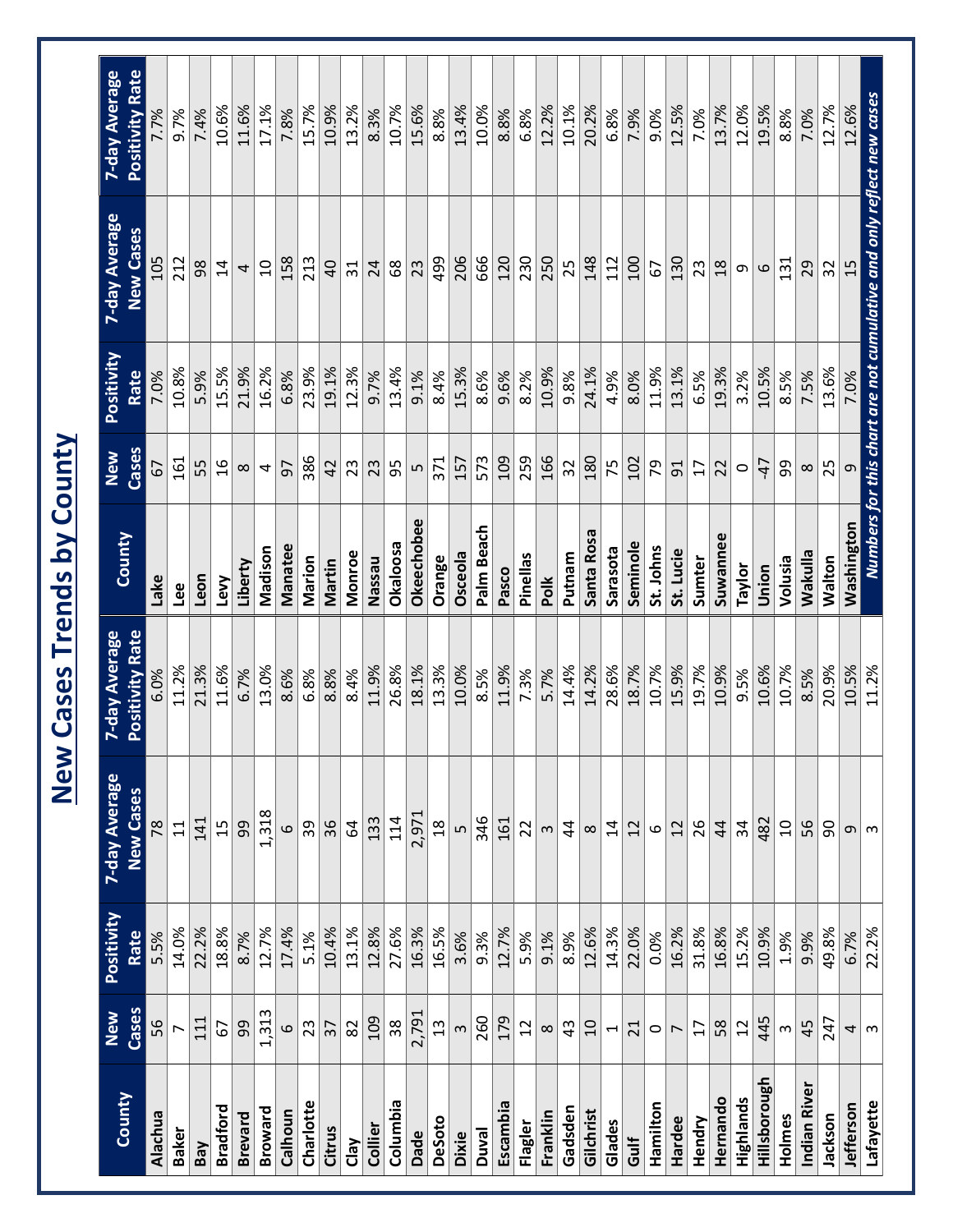|                 |                       |                    | New                               | <b>Cases Trends by County</b>    |                |                 |                    |                                                                      |                                  |
|-----------------|-----------------------|--------------------|-----------------------------------|----------------------------------|----------------|-----------------|--------------------|----------------------------------------------------------------------|----------------------------------|
| County          | Cases<br>New          | Positivity<br>Rate | 7-day Average<br><b>New Cases</b> | Positivity Rate<br>7-day Average | County         | Cases<br>New    | Positivity<br>Rate | 7-day Average<br><b>New Cases</b>                                    | 7-day Average<br>Positivity Rate |
| Alachua         | 95                    | 5.5%               | 78                                | 6.0%                             | Lake           | 5               | 7.0%               | 105                                                                  |                                  |
| <b>Baker</b>    |                       | 14.0%              | $\Xi$                             | 11.2%                            | Lee            | 161             | 10.8%              | 212                                                                  | 9.7%                             |
| Bay             | 111                   | 22.2%              | 141                               | 21.3%                            | Leon           | 55              | 5.9%               | 98                                                                   | 7.4%                             |
| <b>Bradford</b> | 67                    | 18.8%              | 15                                | 11.6%                            | Levy           | $\frac{9}{2}$   | 15.5%              | $\overline{1}$                                                       | 10.6%                            |
| <b>Brevard</b>  | 99                    | 8.7%               | 99                                | 6.7%                             | Liberty        | $\infty$        | 21.9%              | 4                                                                    | 11.6%                            |
| Broward         | 1,313                 | 12.7%              | 1,318                             | 13.0%                            | Madison        | 4               | 16.2%              | $\overline{a}$                                                       | 17.1%                            |
| Calhoun         | $\mathbf{\Omega}$     | 17.4%              | 6                                 | 8.6%                             | <b>Manatee</b> | 57              | 6.8%               | 158                                                                  | 7.8%                             |
| Charlotte       | 23                    | 5.1%               | 39                                | 6.8%                             | Marion         | 386             | 23.9%              | 213                                                                  | 15.7%                            |
| Citrus          | $\overline{37}$       | 10.4%              | 36                                | 8.8%                             | Martin         | 42              | 19.1%              | $\overline{a}$                                                       | 10.9%                            |
| Clay            | 82                    | 13.1%              | $\mathcal{Q}$                     | 8.4%                             | Monroe         | 23              | 12.3%              | $\overline{31}$                                                      | 13.2%                            |
| Collier         | 109                   | 12.8%              | 133                               | 11.9%                            | Nassau         | 23              | 9.7%               | 24                                                                   | 8.3%                             |
| Columbia        | 38                    | 27.6%              | 114                               | 26.8%                            | Okaloosa       | 95              | 13.4%              | 89                                                                   | 10.7%                            |
| Dade            | 2,791                 | 16.3%              | 2,971                             | 18.1%                            | Okeechobee     | Lŋ              | 9.1%               | 23                                                                   | 15.6%                            |
| DeSoto          | $\frac{2}{3}$         | 16.5%              | $\frac{8}{1}$                     | 13.3%                            | Orange         | 371             | 8.4%               | 499                                                                  | 8.8%                             |
| <b>Dixie</b>    | $\infty$              | 3.6%               | LŊ                                | 10.0%                            | <b>Osceola</b> | 157             | 15.3%              | 206                                                                  | 13.4%                            |
| <b>Duval</b>    | 260                   | 9.3%               | 346                               | 8.5%                             | Palm Beach     | 573             | 8.6%               | 666                                                                  | 10.0%                            |
| Escambia        | 179                   | 12.7%              | 161                               | 11.9%                            | Pasco          | 109             | 9.6%               | 120                                                                  | 8.8%                             |
| Flagler         | $\overline{12}$       | 5.9%               | 22                                | 7.3%                             | Pinellas       | 259             | 8.2%               | 230                                                                  | 6.8%                             |
| Franklin        | $\infty$              | 9.1%               | S                                 | 5.7%                             | Polk           | 166             | 10.9%              | 250                                                                  | 12.2%                            |
| Gadsden         | 43                    | 8.9%               | $\overline{4}$                    | 14.4%                            | Putnam         | 32              | 9.8%               | 25                                                                   | 10.1%                            |
| Gilchrist       | $\overline{10}$       | 12.6%              | $\infty$                          | 14.2%                            | Santa Rosa     | 180             | 24.1%              | 148                                                                  | 20.2%                            |
| Glades          | $\blacktriangleright$ | 14.3%              | $\overline{4}$                    | 28.6%                            | Sarasota       | 75              | 4.9%               | 112                                                                  | 6.8%                             |
| Gulf            | 21                    | 22.0%              | 12                                | 18.7%                            | Seminole       | 102             | 8.0%               | <b>00T</b>                                                           | 7.9%                             |
| Hamilton        | $\circ$               | 0.0%               | 6                                 | 10.7%                            | St. Johns      | 54              | 11.9%              | 5                                                                    | 9.0%                             |
| Hardee          | $\overline{ }$        | 16.2%              | 12                                | 15.9%                            | St. Lucie      | 5 <sup>1</sup>  | 13.1%              | 130                                                                  | 12.5%                            |
| Hendry          | 17                    | 31.8%              | 26                                | 19.7%                            | Sumter         | $\overline{17}$ | 6.5%               | 23                                                                   | 7.0%                             |
| Hernando        | 58                    | 16.8%              | $\overline{4}$                    | 10.9%                            | Suwannee       | 22              | 19.3%              | $\frac{8}{18}$                                                       | 13.7%                            |
| Highlands       | 12                    | 15.2%              | 34                                | 9.5%                             | Taylor         | $\circ$         | 3.2%               | თ                                                                    | 12.0%                            |
| Hillsborough    | 445                   | 10.9%              | 482                               | 10.6%                            | Union          | $-47$           | 10.5%              | $\circ$                                                              | 19.5%                            |
| Holmes          | $\infty$              | 1.9%               | $\overline{c}$                    | 10.7%                            | Volusia        | 99              | 8.5%               | 131                                                                  | 8.8%                             |
| Indian River    | 45                    | 9.9%               | 56                                | 8.5%                             | Wakulla        | $\infty$        | 7.5%               | 29                                                                   | 7.0%                             |
| Jackson         | 247                   | 49.8%              | 90                                | 20.9%                            | <b>Walton</b>  | 25              | 13.6%              | 32                                                                   | 12.7%                            |
| Jefferson       | 4                     | 6.7%               | G.                                | 10.5%                            | Washington     | $\sigma$        | 7.0%               | 15                                                                   | 12.6%                            |
| Lafayette       | $\infty$              | 22.2%              | ന                                 | 11.2%                            |                |                 |                    | Numbers for this chart are not cumulative and only reflect new cases |                                  |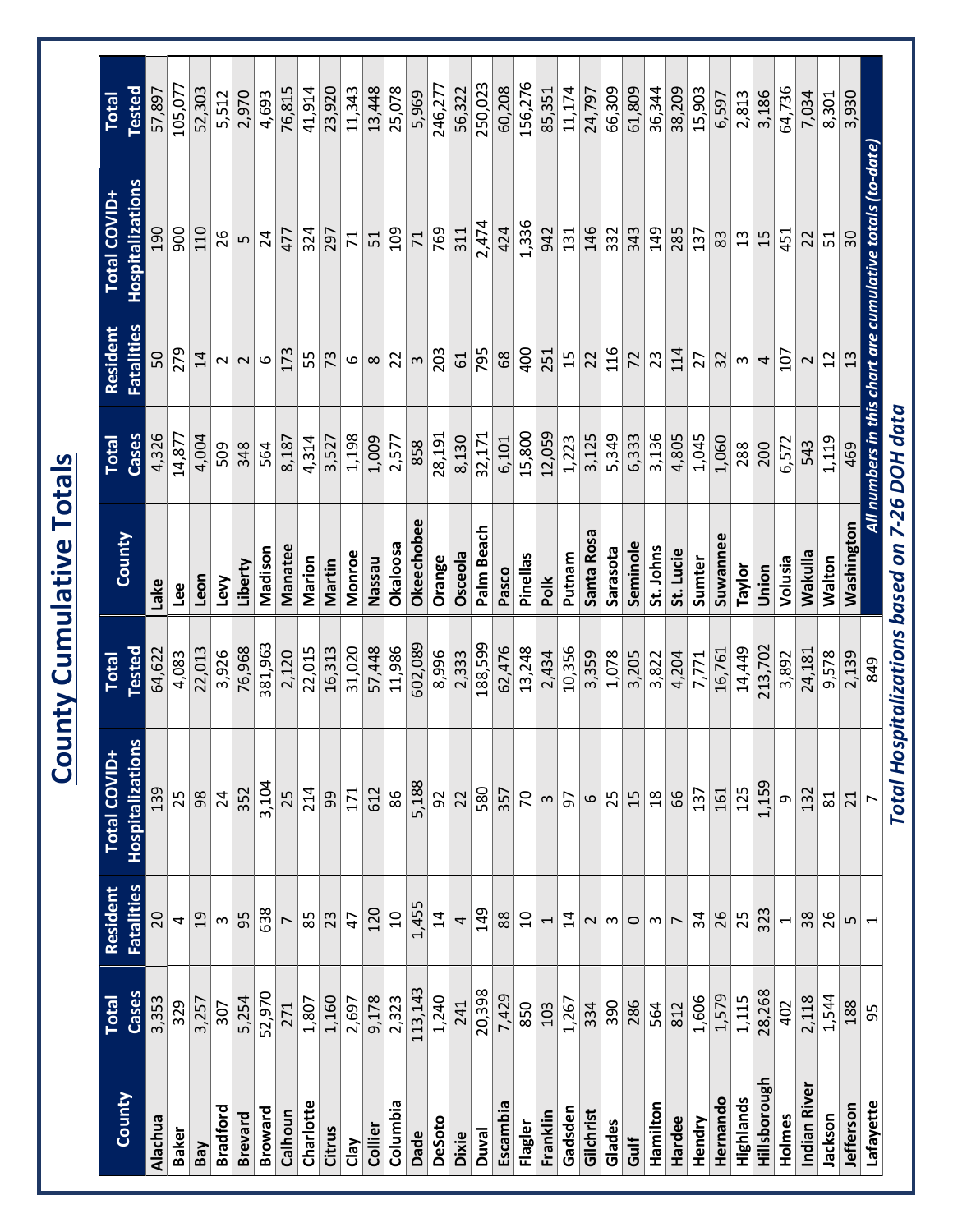|                 |                |                               | $ \bar{S} $                             |                 | unty Cumulative Totals                        |                       |                               |                                                                |                        |
|-----------------|----------------|-------------------------------|-----------------------------------------|-----------------|-----------------------------------------------|-----------------------|-------------------------------|----------------------------------------------------------------|------------------------|
| County          | Cases<br>Total | <b>Fatalities</b><br>Resident | Hospitalizations<br><b>Total COVID+</b> | Tested<br>Total | County                                        | Cases<br><b>Total</b> | <b>Fatalities</b><br>Resident | <b>Hospitalizations</b><br><b>Total COVID+</b>                 | Tested<br><b>Total</b> |
| Alachua         | 3,353          | 20                            | 139                                     | 64,622          | Lake                                          | 4,326                 | 50                            | <b>OGT</b>                                                     | 57,897                 |
| <b>Baker</b>    | 329            | $\overline{a}$                | 25                                      | 4,083           | Lee                                           | 14,877                | 279                           | 900                                                            | 105,077                |
| Bay             | 3,257          | $\overline{c}$                | $98$                                    | 22,013          | Leon                                          | 4,004                 | $\overline{1}$                | 110                                                            | 52,303                 |
| <b>Bradford</b> | 307            | $\infty$                      | 24                                      | 3,926           | Levy                                          | 509                   | 2                             | 26                                                             | 5,512                  |
| <b>Brevard</b>  | 5,254          | 95                            | 352                                     | 76,968          | Liberty                                       | 348                   | $\sim$                        | LN                                                             | 2,970                  |
| Broward         | 52,970         | 638                           | 3,104                                   | 381,963         | Madison                                       | 564                   | $\circ$                       | 24                                                             | 4,693                  |
| Calhoun         | 271            | $\overline{ }$                | 25                                      | 2,120           | Manatee                                       | 8,187                 | 173                           | 477                                                            | 76,815                 |
| Charlotte       | 1,807          | 85                            | 214                                     | 22,015          | Marion                                        | 4,314                 | 55                            | 324                                                            | 41,914                 |
| Citrus          | 1,160          | 23                            | 99                                      | 16,313          | Martin                                        | 3,527                 | 73                            | 297                                                            | 23,920                 |
| Clay            | 2,697          | 47                            | 171                                     | 31,020          | Monroe                                        | 1,198                 | 6                             | $\overline{7}$                                                 | 11,343                 |
| Collier         | 9,178          | 120                           | 612                                     | 57,448          | Nassau                                        | 1,009                 | $\infty$                      | 51                                                             | 13,448                 |
| Columbia        | 2,323          | $\overline{a}$                | 86                                      | 11,986          | Okaloosa                                      | 2,577                 | 22                            | <b>20P</b>                                                     | 25,078                 |
| Dade            | 113, 143       | 1,455                         | 5,188                                   | 602,089         | Okeechobee                                    | 858                   | $\boldsymbol{\uparrow}$       | $\overline{7}$                                                 | 5,969                  |
| DeSoto          | 1,240          | 14                            | $\frac{5}{2}$                           | 8,996           | Orange                                        | 28,191                | 203                           | 769                                                            | 246,277                |
| <b>Dixie</b>    | 241            | $\overline{\mathcal{L}}$      | 22                                      | 2,333           | <b>Osceola</b>                                | 8,130                 | 61                            | 311                                                            | 56,322                 |
| <b>Duval</b>    | 20,398         | 149                           | 580                                     | 188,599         | Palm Beach                                    | 32,171                | 795                           | 2,474                                                          | 250,023                |
| Escambia        | 7,429          | 88                            | 357                                     | 62,476          | Pasco                                         | 6,101                 | 68                            | 424                                                            | 60,208                 |
| Flagler         | 850            | $\overline{c}$                | $\overline{2}$                          | 13,248          | Pinellas                                      | 15,800                | 400                           | 1,336                                                          | 156,276                |
| Franklin        | 103            | $\overline{\phantom{0}}$      | $\infty$                                | 2,434           | Polk                                          | 12,059                | 251                           | 942                                                            | 85,351                 |
| Gadsden         | 1,267          | $\overline{4}$                | 57                                      | 10,356          | Putnam                                        | 1,223                 | 15                            | 131                                                            | 11,174                 |
| Gilchrist       | 334            | $\sim$                        | $\circ$                                 | 3,359           | Santa Rosa                                    | 3,125                 | 22                            | 146                                                            | 24,797                 |
| Glades          | 390            | $\boldsymbol{\mathsf{m}}$     |                                         | 1,078           | Sarasota                                      | 5,349                 | 116                           | 332                                                            | 66,309                 |
| Gulf            | 286            | $\circ$                       | $ z $ $\approx$                         | 3,205           | Seminole                                      | 6,333                 | $\overline{z}$                | 343                                                            | 61,809                 |
| Hamilton        | 564            | $\boldsymbol{\mathsf{c}}$     |                                         | 3,822           | St. Johns                                     | 3,136                 | 23                            | <b>149</b>                                                     | 36,344                 |
| Hardee          | 812            | $\overline{\phantom{0}}$      | 66                                      | 4,204           | St. Lucie                                     | 4,805                 | 114                           | 285                                                            | 38,209                 |
| Hendry          | 1,606          | 34                            | 137                                     | 7,771           | Sumter                                        | 1,045                 | 27                            | 137                                                            | 15,903                 |
| Hernando        | 1,579          | 26                            | 161                                     | 16,761          | Suwannee                                      | 1,060                 | 32                            | 83                                                             | 6,597                  |
| Highlands       | 1,115          | 25                            | 125                                     | 14,449          | Taylor                                        | 288                   | $\boldsymbol{\mathsf{m}}$     | 13                                                             | 2,813                  |
| Hillsborough    | 28,268         | 323                           | 1,159                                   | 213,702         | Union                                         | 200                   | $\overline{a}$                | 15                                                             | 3,186                  |
| Holmes          | 402            | $\overline{\phantom{0}}$      | <b>ာ</b>                                | 3,892           | Volusia                                       | 6,572                 | 107                           | 451                                                            | 64,736                 |
| Indian River    | 2,118          | 38                            | 132                                     | 24,181          | Wakulla                                       | 543                   | $\sim$                        | 22                                                             | 7,034                  |
| Jackson         | 1,544          | 26                            | 81                                      | 9,578           | Walton                                        | 1,119                 | 12                            | 51                                                             | 8,301                  |
| Jefferson       | 188            | LN                            | 21                                      | 2,139           | Washington                                    | 469                   | 13                            | 30                                                             | 3,930                  |
| Lafayette       | 95             | $\overline{\phantom{0}}$      |                                         | 849             |                                               |                       |                               | All numbers in this chart are cumulative totals (to-date) $\,$ |                        |
|                 |                |                               |                                         |                 | Total Hospitalizations based on 7-26 DOH data |                       |                               |                                                                |                        |